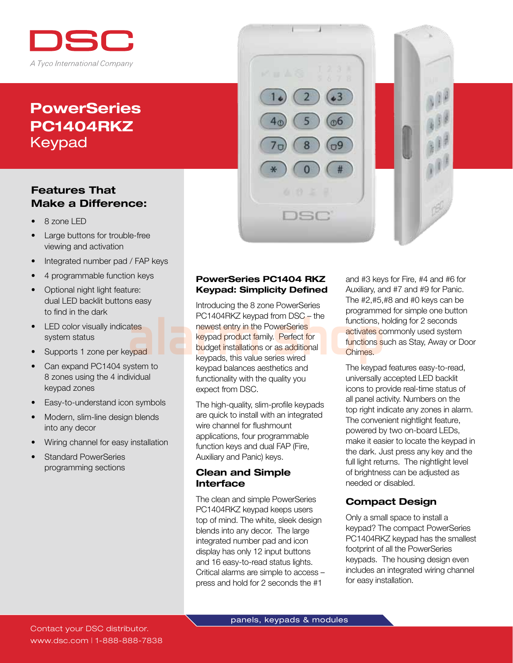

# **PowerSeries** PC1404RKZ Keypad

## Features That Make a Difference:

- 8 zone LED
- Large buttons for trouble-free viewing and activation
- Integrated number pad / FAP keys
- 4 programmable function keys
- Optional night light feature: dual LED backlit buttons easy to find in the dark
- LED color visually indicates system status
- Supports 1 zone per keypad
- Can expand PC1404 system to 8 zones using the 4 individual keypad zones
- Easy-to-understand icon symbols
- Modern, slim-line design blends into any decor
- Wiring channel for easy installation
- **Standard PowerSeries**  programming sections



ო6

esc

Introducing the 8 zone PowerSeries PC1404RKZ keypad from DSC – the newest entry in the PowerSeries keypad product family. Perfect for budget installations or as additional keypads, this value series wired keypad balances aesthetics and functionality with the quality you expect from DSC. PC1404RKZ keypad from DSC – the functions, have a test of the programme of the states of the states of the states of the states of the states of the states of the states of the states of the states of the states of the sta

> The high-quality, slim-profile keypads are quick to install with an integrated wire channel for flushmount applications, four programmable function keys and dual FAP (Fire, Auxiliary and Panic) keys.

#### Clean and Simple Interface

The clean and simple PowerSeries PC1404RKZ keypad keeps users top of mind. The white, sleek design blends into any decor. The large integrated number pad and icon display has only 12 input buttons and 16 easy-to-read status lights. Critical alarms are simple to access – press and hold for 2 seconds the #1

and #3 keys for Fire, #4 and #6 for Auxiliary, and #7 and #9 for Panic. The #2,#5,#8 and #0 keys can be programmed for simple one button functions, holding for 2 seconds activates commonly used system functions such as Stay, Away or Door Chimes.

The keypad features easy-to-read, universally accepted LED backlit icons to provide real-time status of all panel activity. Numbers on the top right indicate any zones in alarm. The convenient nightlight feature, powered by two on-board LEDs, make it easier to locate the keypad in the dark. Just press any key and the full light returns. The nightlight level of brightness can be adjusted as needed or disabled.

## Compact Design

Only a small space to install a keypad? The compact PowerSeries PC1404RKZ keypad has the smallest footprint of all the PowerSeries keypads. The housing design even includes an integrated wiring channel for easy installation.